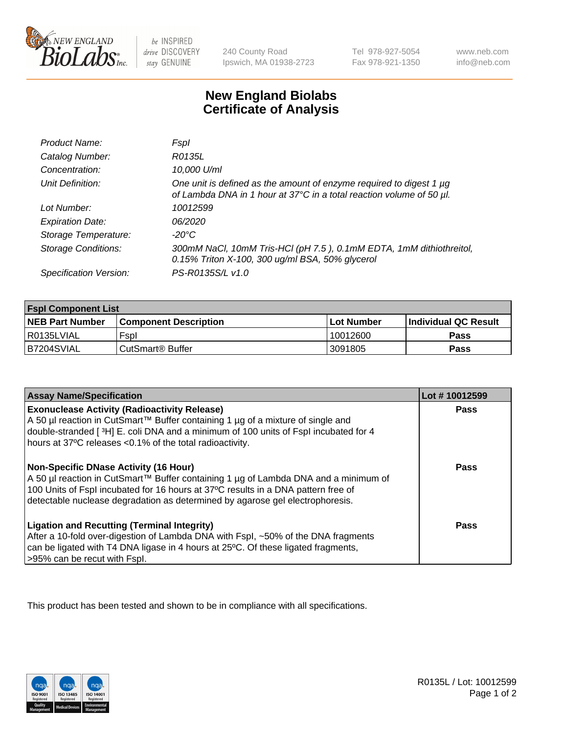

 $be$  INSPIRED drive DISCOVERY stay GENUINE

240 County Road Ipswich, MA 01938-2723 Tel 978-927-5054 Fax 978-921-1350 www.neb.com info@neb.com

## **New England Biolabs Certificate of Analysis**

| Product Name:              | Fspl                                                                                                                                        |
|----------------------------|---------------------------------------------------------------------------------------------------------------------------------------------|
| Catalog Number:            | R0135L                                                                                                                                      |
| Concentration:             | 10,000 U/ml                                                                                                                                 |
| Unit Definition:           | One unit is defined as the amount of enzyme required to digest 1 µg<br>of Lambda DNA in 1 hour at 37°C in a total reaction volume of 50 µl. |
| Lot Number:                | 10012599                                                                                                                                    |
| <b>Expiration Date:</b>    | 06/2020                                                                                                                                     |
| Storage Temperature:       | -20°C                                                                                                                                       |
| <b>Storage Conditions:</b> | 300mM NaCl, 10mM Tris-HCl (pH 7.5), 0.1mM EDTA, 1mM dithiothreitol,<br>0.15% Triton X-100, 300 ug/ml BSA, 50% glycerol                      |
| Specification Version:     | PS-R0135S/L v1.0                                                                                                                            |

| <b>Fspl Component List</b> |                              |              |                             |  |
|----------------------------|------------------------------|--------------|-----------------------------|--|
| <b>NEB Part Number</b>     | <b>Component Description</b> | l Lot Number | <b>Individual QC Result</b> |  |
| I R0135LVIAL               | Fspl                         | 10012600     | <b>Pass</b>                 |  |
| B7204SVIAL                 | l CutSmart® Buffer           | 3091805      | Pass                        |  |

| <b>Assay Name/Specification</b>                                                                                                                                                                                                                                                                           | Lot #10012599 |
|-----------------------------------------------------------------------------------------------------------------------------------------------------------------------------------------------------------------------------------------------------------------------------------------------------------|---------------|
| <b>Exonuclease Activity (Radioactivity Release)</b><br>A 50 µl reaction in CutSmart™ Buffer containing 1 µg of a mixture of single and<br>double-stranded [3H] E. coli DNA and a minimum of 100 units of Fspl incubated for 4<br>hours at 37°C releases <0.1% of the total radioactivity.                 | Pass          |
| <b>Non-Specific DNase Activity (16 Hour)</b><br>A 50 µl reaction in CutSmart™ Buffer containing 1 µg of Lambda DNA and a minimum of<br>100 Units of Fspl incubated for 16 hours at 37°C results in a DNA pattern free of<br>detectable nuclease degradation as determined by agarose gel electrophoresis. | Pass          |
| <b>Ligation and Recutting (Terminal Integrity)</b><br>After a 10-fold over-digestion of Lambda DNA with Fspl, ~50% of the DNA fragments<br>can be ligated with T4 DNA ligase in 4 hours at 25°C. Of these ligated fragments,<br>>95% can be recut with Fspl.                                              | Pass          |

This product has been tested and shown to be in compliance with all specifications.